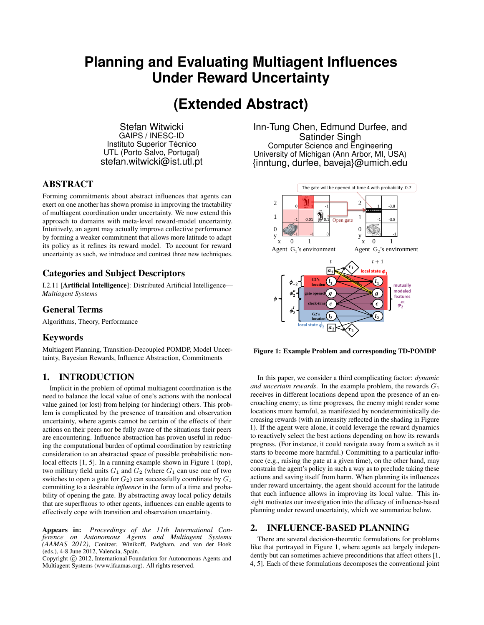# **Planning and Evaluating Multiagent Influences Under Reward Uncertainty**

# **(Extended Abstract)**

Stefan Witwicki GAIPS / INESC-ID Instituto Superior Técnico UTL (Porto Salvo, Portugal) stefan.witwicki@ist.utl.pt

## ABSTRACT

Forming commitments about abstract influences that agents can exert on one another has shown promise in improving the tractability of multiagent coordination under uncertainty. We now extend this approach to domains with meta-level reward-model uncertainty. Intuitively, an agent may actually improve collective performance by forming a weaker commitment that allows more latitude to adapt its policy as it refines its reward model. To account for reward uncertainty as such, we introduce and contrast three new techniques.

# Categories and Subject Descriptors

I.2.11 [Artificial Intelligence]: Distributed Artificial Intelligence— *Multiagent Systems*

## General Terms

Algorithms, Theory, Performance

### Keywords

Multiagent Planning, Transition-Decoupled POMDP, Model Uncertainty, Bayesian Rewards, Influence Abstraction, Commitments

## 1. INTRODUCTION

Implicit in the problem of optimal multiagent coordination is the need to balance the local value of one's actions with the nonlocal value gained (or lost) from helping (or hindering) others. This problem is complicated by the presence of transition and observation uncertainty, where agents cannot be certain of the effects of their actions on their peers nor be fully aware of the situations their peers are encountering. Influence abstraction has proven useful in reducing the computational burden of optimal coordination by restricting consideration to an abstracted space of possible probabilistic nonlocal effects [1, 5]. In a running example shown in Figure 1 (top), two military field units  $G_1$  and  $G_2$  (where  $G_1$  can use one of two switches to open a gate for  $G_2$ ) can successfully coordinate by  $G_1$ committing to a desirable *influence* in the form of a time and probability of opening the gate. By abstracting away local policy details that are superfluous to other agents, influences can enable agents to effectively cope with transition and observation uncertainty.

Appears in: *Proceedings of the 11th International Conference on Autonomous Agents and Multiagent Systems (AAMAS 2012)*, Conitzer, Winikoff, Padgham, and van der Hoek (eds.), 4-8 June 2012, Valencia, Spain.

Copyright (C) 2012, International Foundation for Autonomous Agents and Multiagent Systems (www.ifaamas.org). All rights reserved.

Inn-Tung Chen, Edmund Durfee, and Satinder Singh Computer Science and Engineering University of Michigan (Ann Arbor, MI, USA) {inntung, durfee, baveja}@umich.edu



Figure 1: Example Problem and corresponding TD-POMDP

In this paper, we consider a third complicating factor: *dynamic and uncertain rewards*. In the example problem, the rewards  $G_1$ receives in different locations depend upon the presence of an encroaching enemy; as time progresses, the enemy might render some locations more harmful, as manifested by nondeterministically decreasing rewards (with an intensity reflected in the shading in Figure 1). If the agent were alone, it could leverage the reward dynamics to reactively select the best actions depending on how its rewards progress. (For instance, it could navigate away from a switch as it starts to become more harmful.) Committing to a particular influence (e.g., raising the gate at a given time), on the other hand, may constrain the agent's policy in such a way as to preclude taking these actions and saving itself from harm. When planning its influences under reward uncertainty, the agent should account for the latitude that each influence allows in improving its local value. This insight motivates our investigation into the efficacy of influence-based planning under reward uncertainty, which we summarize below.

### 2. INFLUENCE-BASED PLANNING

There are several decision-theoretic formulations for problems like that portrayed in Figure 1, where agents act largely independently but can sometimes achieve preconditions that affect others [1, 4, 5]. Each of these formulations decomposes the conventional joint